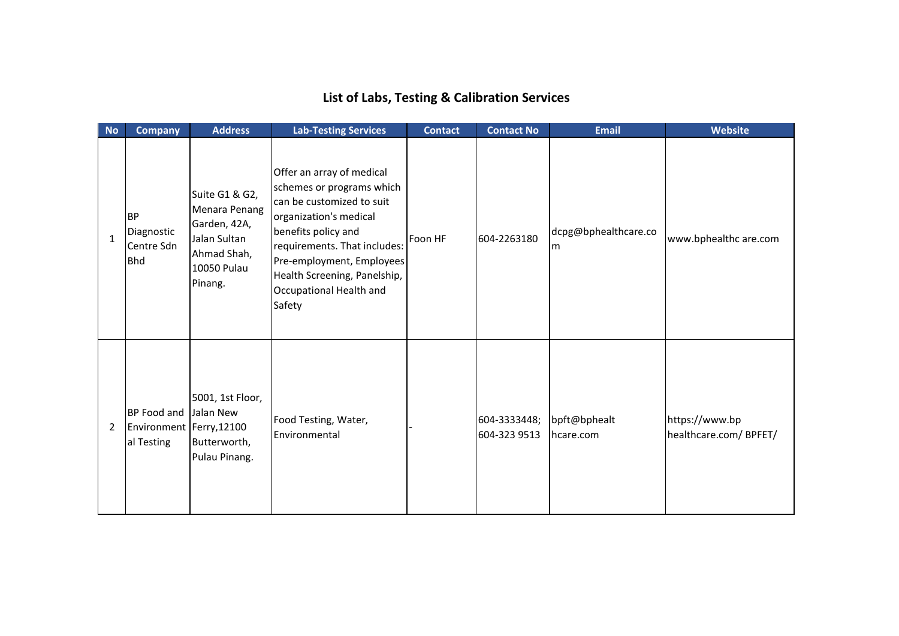## **List of Labs, Testing & Calibration Services**

| No             | <b>Company</b>                                          | <b>Address</b>                                                                                           | <b>Lab-Testing Services</b>                                                                                                                                                                                                                                            | <b>Contact</b> | <b>Contact No</b>            | <b>Email</b>              | <b>Website</b>                          |
|----------------|---------------------------------------------------------|----------------------------------------------------------------------------------------------------------|------------------------------------------------------------------------------------------------------------------------------------------------------------------------------------------------------------------------------------------------------------------------|----------------|------------------------------|---------------------------|-----------------------------------------|
| $\mathbf{1}$   | BP<br>Diagnostic<br>Centre Sdn<br><b>Bhd</b>            | Suite G1 & G2,<br>Menara Penang<br>Garden, 42A,<br>Jalan Sultan<br>Ahmad Shah,<br>10050 Pulau<br>Pinang. | Offer an array of medical<br>schemes or programs which<br>can be customized to suit<br>organization's medical<br>benefits policy and<br>requirements. That includes:<br>Pre-employment, Employees<br>Health Screening, Panelship,<br>Occupational Health and<br>Safety | Foon HF        | 604-2263180                  | dcpg@bphealthcare.co<br>m | www.bphealthc are.com                   |
| $\overline{2}$ | BP Food and<br>Environment   Ferry, 12100<br>al Testing | 5001, 1st Floor,<br>Jalan New<br>Butterworth,<br>Pulau Pinang.                                           | Food Testing, Water,<br>Environmental                                                                                                                                                                                                                                  |                | 604-3333448;<br>604-323 9513 | bpft@bphealt<br>hcare.com | https://www.bp<br>healthcare.com/BPFET/ |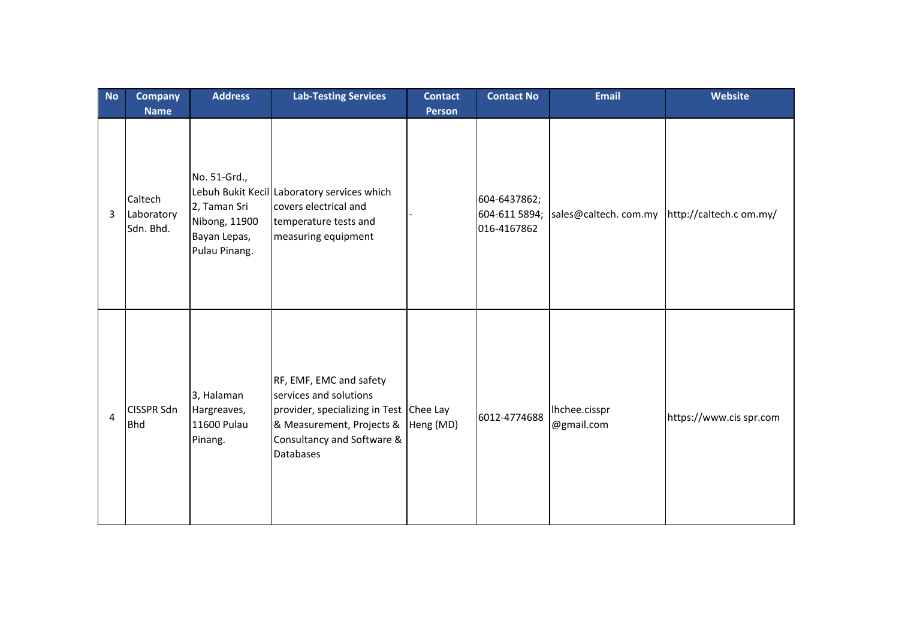| <b>No</b>              | <b>Company</b><br><b>Name</b>      | <b>Address</b>                                                                 | <b>Lab-Testing Services</b>                                                                                                                                                 | <b>Contact</b><br><b>Person</b> | <b>Contact No</b>                            | <b>Email</b>                                | Website                 |
|------------------------|------------------------------------|--------------------------------------------------------------------------------|-----------------------------------------------------------------------------------------------------------------------------------------------------------------------------|---------------------------------|----------------------------------------------|---------------------------------------------|-------------------------|
| 3                      | Caltech<br>Laboratory<br>Sdn. Bhd. | No. 51-Grd.,<br>2, Taman Sri<br>Nibong, 11900<br>Bayan Lepas,<br>Pulau Pinang. | Lebuh Bukit Kecil Laboratory services which<br>covers electrical and<br>temperature tests and<br>measuring equipment                                                        |                                 | 604-6437862;<br>604-611 5894;<br>016-4167862 | sales@caltech.com.my http://caltech.com.my/ |                         |
| $\boldsymbol{\Lambda}$ | <b>CISSPR Sdn</b><br><b>Bhd</b>    | 3, Halaman<br>Hargreaves,<br>11600 Pulau<br>Pinang.                            | RF, EMF, EMC and safety<br>services and solutions<br>provider, specializing in Test Chee Lay<br>& Measurement, Projects &<br>Consultancy and Software &<br><b>Databases</b> | Heng (MD)                       | 6012-4774688                                 | Ihchee.cisspr<br>@gmail.com                 | https://www.cis spr.com |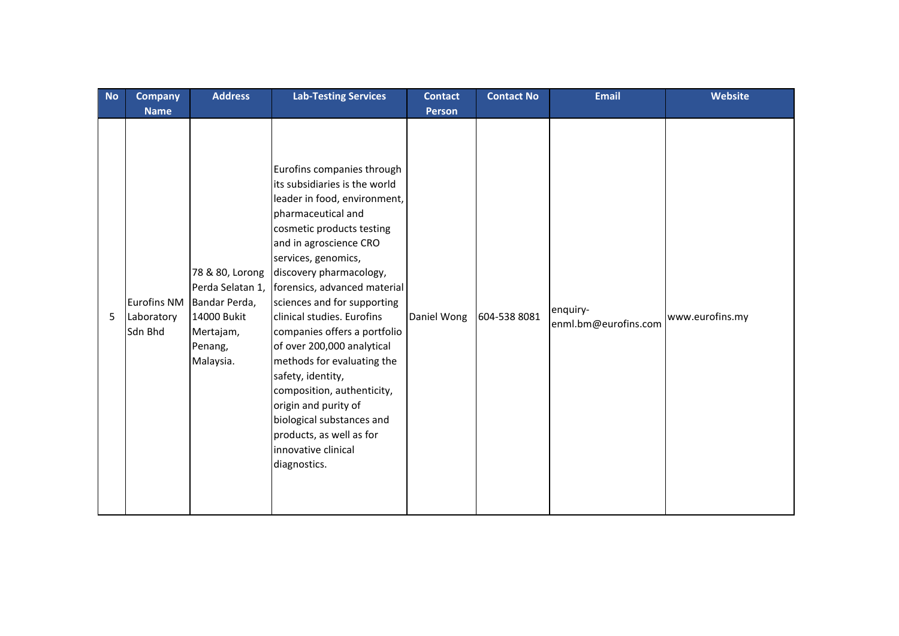| <b>No</b> | <b>Company</b>                              | <b>Address</b>                                                                                           | <b>Lab-Testing Services</b>                                                                                                                                                                                                                                                                                                                                                                                                                                                                                                                                                                    | <b>Contact</b> | <b>Contact No</b> | <b>Email</b>                     | <b>Website</b>  |
|-----------|---------------------------------------------|----------------------------------------------------------------------------------------------------------|------------------------------------------------------------------------------------------------------------------------------------------------------------------------------------------------------------------------------------------------------------------------------------------------------------------------------------------------------------------------------------------------------------------------------------------------------------------------------------------------------------------------------------------------------------------------------------------------|----------------|-------------------|----------------------------------|-----------------|
|           | <b>Name</b>                                 |                                                                                                          |                                                                                                                                                                                                                                                                                                                                                                                                                                                                                                                                                                                                | <b>Person</b>  |                   |                                  |                 |
| 5         | <b>Eurofins NM</b><br>Laboratory<br>Sdn Bhd | 78 & 80, Lorong<br>Perda Selatan 1,<br>Bandar Perda,<br>14000 Bukit<br>Mertajam,<br>Penang,<br>Malaysia. | Eurofins companies through<br>its subsidiaries is the world<br>leader in food, environment,<br>pharmaceutical and<br>cosmetic products testing<br>and in agroscience CRO<br>services, genomics,<br>discovery pharmacology,<br>forensics, advanced material<br>sciences and for supporting<br>clinical studies. Eurofins<br>companies offers a portfolio<br>of over 200,000 analytical<br>methods for evaluating the<br>safety, identity,<br>composition, authenticity,<br>origin and purity of<br>biological substances and<br>products, as well as for<br>innovative clinical<br>diagnostics. | Daniel Wong    | 604-538 8081      | enquiry-<br>enml.bm@eurofins.com | www.eurofins.my |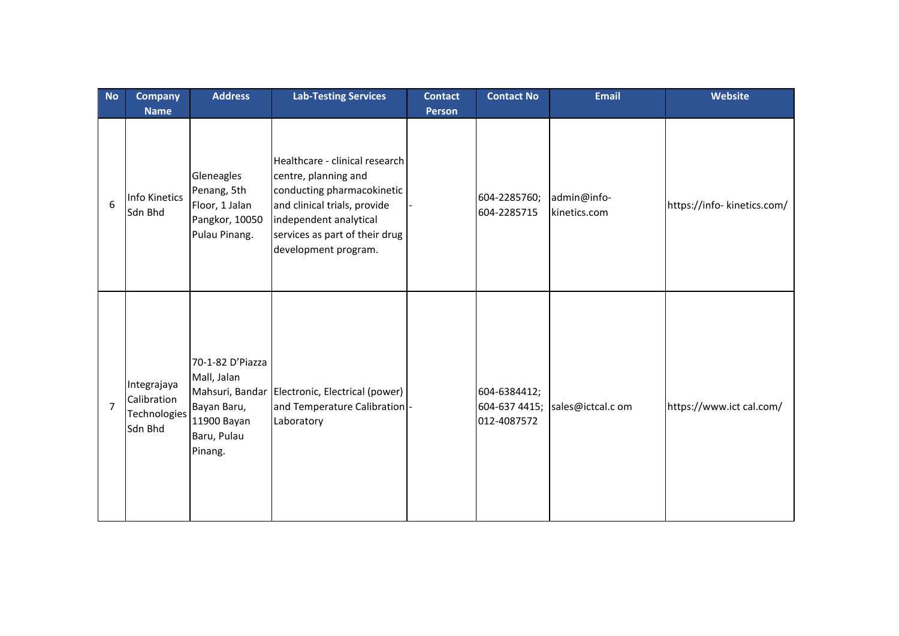| <b>No</b>      | <b>Company</b><br><b>Name</b>                         | <b>Address</b>                                                                          | <b>Lab-Testing Services</b>                                                                                                                                                                              | <b>Contact</b><br><b>Person</b> | <b>Contact No</b>                            | <b>Email</b>                | <b>Website</b>              |
|----------------|-------------------------------------------------------|-----------------------------------------------------------------------------------------|----------------------------------------------------------------------------------------------------------------------------------------------------------------------------------------------------------|---------------------------------|----------------------------------------------|-----------------------------|-----------------------------|
| 6              | <b>Info Kinetics</b><br>Sdn Bhd                       | Gleneagles<br>Penang, 5th<br>Floor, 1 Jalan<br>Pangkor, 10050<br>Pulau Pinang.          | Healthcare - clinical research<br>centre, planning and<br>conducting pharmacokinetic<br>and clinical trials, provide<br>independent analytical<br>services as part of their drug<br>development program. |                                 | 604-2285760;<br>604-2285715                  | admin@info-<br>kinetics.com | https://info- kinetics.com/ |
| $\overline{7}$ | Integrajaya<br>Calibration<br>Technologies<br>Sdn Bhd | 70-1-82 D'Piazza<br>Mall, Jalan<br>Bayan Baru,<br>11900 Bayan<br>Baru, Pulau<br>Pinang. | Mahsuri, Bandar Electronic, Electrical (power)<br>and Temperature Calibration -<br>Laboratory                                                                                                            |                                 | 604-6384412;<br>604-637 4415;<br>012-4087572 | sales@ictcal.c om           | https://www.ict cal.com/    |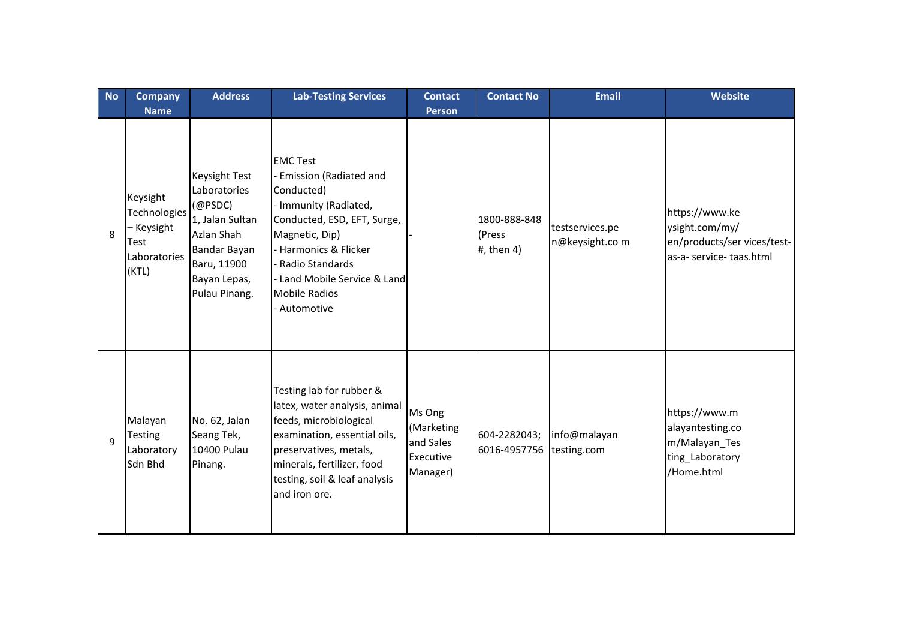| <b>No</b> | <b>Company</b>                                                                         | <b>Address</b>                                                                                                                                   | <b>Lab-Testing Services</b>                                                                                                                                                                                                                                  | <b>Contact</b>                                             | <b>Contact No</b>                      | Email                             | Website                                                                                     |
|-----------|----------------------------------------------------------------------------------------|--------------------------------------------------------------------------------------------------------------------------------------------------|--------------------------------------------------------------------------------------------------------------------------------------------------------------------------------------------------------------------------------------------------------------|------------------------------------------------------------|----------------------------------------|-----------------------------------|---------------------------------------------------------------------------------------------|
| 8         | <b>Name</b><br>Keysight<br>Technologies<br>- Keysight<br>Test<br>Laboratories<br>(KTL) | <b>Keysight Test</b><br>Laboratories<br>(@PSDC)<br>1, Jalan Sultan<br>Azlan Shah<br>Bandar Bayan<br>Baru, 11900<br>Bayan Lepas,<br>Pulau Pinang. | <b>EMC Test</b><br><b>Emission (Radiated and</b><br>Conducted)<br>- Immunity (Radiated,<br>Conducted, ESD, EFT, Surge,<br>Magnetic, Dip)<br>- Harmonics & Flicker<br>- Radio Standards<br>Land Mobile Service & Land<br><b>Mobile Radios</b><br>- Automotive | <b>Person</b>                                              | 1800-888-848<br>(Press<br>#, then $4)$ | testservices.pe<br>n@keysight.com | https://www.ke<br>ysight.com/my/<br>en/products/ser vices/test-<br>as-a- service- taas.html |
| 9         | Malayan<br><b>Testing</b><br>Laboratory<br>Sdn Bhd                                     | No. 62, Jalan<br>Seang Tek,<br>10400 Pulau<br>Pinang.                                                                                            | Testing lab for rubber &<br>latex, water analysis, animal<br>feeds, microbiological<br>examination, essential oils,<br>preservatives, metals,<br>minerals, fertilizer, food<br>testing, soil & leaf analysis<br>and iron ore.                                | Ms Ong<br>(Marketing<br>and Sales<br>Executive<br>Manager) | 604-2282043;<br>6016-4957756           | info@malayan<br>testing.com       | https://www.m<br>alayantesting.co<br>m/Malayan_Tes<br>ting_Laboratory<br>/Home.html         |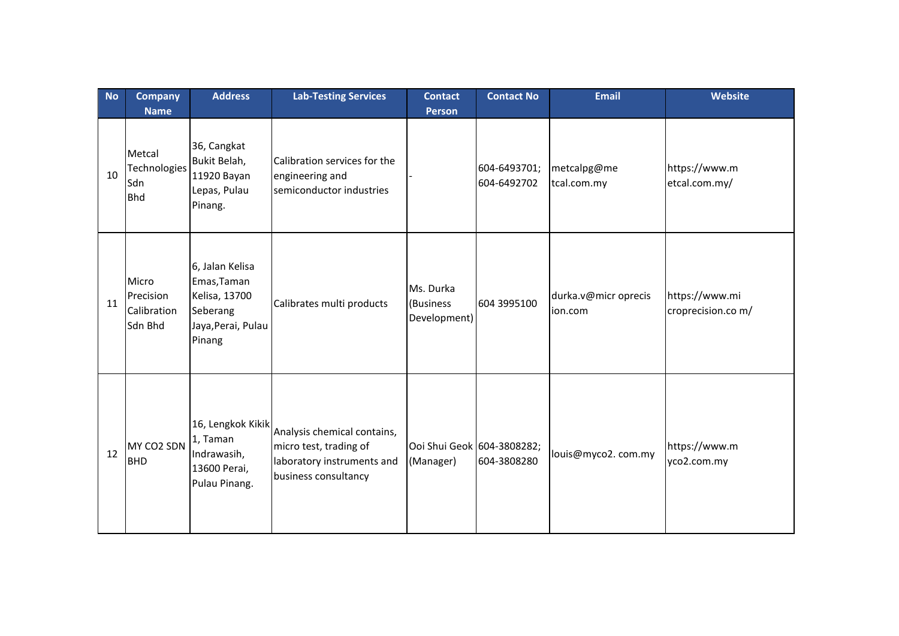| <b>No</b> | <b>Company</b>                                             | <b>Address</b>                                                                              | <b>Lab-Testing Services</b>                                                                                 | <b>Contact</b>                          | <b>Contact No</b>           | <b>Email</b>                    | <b>Website</b>                       |
|-----------|------------------------------------------------------------|---------------------------------------------------------------------------------------------|-------------------------------------------------------------------------------------------------------------|-----------------------------------------|-----------------------------|---------------------------------|--------------------------------------|
| 10        | <b>Name</b><br>Metcal<br>Technologies<br>Sdn<br><b>Bhd</b> | 36, Cangkat<br>Bukit Belah,<br>11920 Bayan<br>Lepas, Pulau<br>Pinang.                       | Calibration services for the<br>engineering and<br>semiconductor industries                                 | <b>Person</b>                           | 604-6493701;<br>604-6492702 | metcalpg@me<br>tcal.com.my      | https://www.m<br>etcal.com.my/       |
| 11        | Micro<br>Precision<br>Calibration<br>Sdn Bhd               | 6, Jalan Kelisa<br>Emas, Taman<br>Kelisa, 13700<br>Seberang<br>Jaya, Perai, Pulau<br>Pinang | Calibrates multi products                                                                                   | Ms. Durka<br>(Business<br>Development)  | 604 3995100                 | durka.v@micr oprecis<br>ion.com | https://www.mi<br>croprecision.co m/ |
| 12        | MY CO2 SDN<br><b>BHD</b>                                   | 16, Lengkok Kikik<br>1, Taman<br>Indrawasih,<br>13600 Perai,<br>Pulau Pinang.               | Analysis chemical contains,<br>micro test, trading of<br>laboratory instruments and<br>business consultancy | Ooi Shui Geok 604-3808282;<br>(Manager) | 604-3808280                 | louis@myco2.com.my              | https://www.m<br>yco2.com.my         |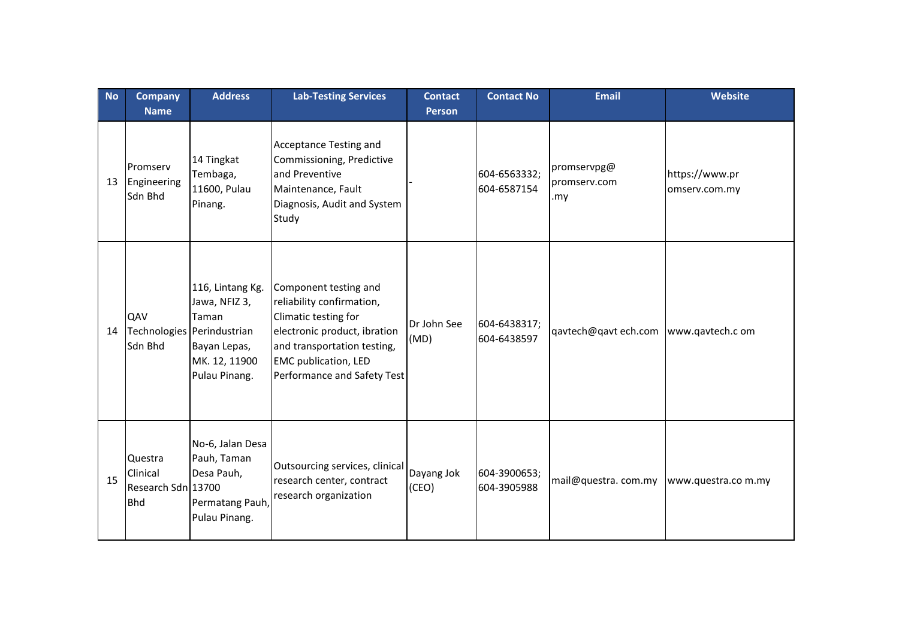| <b>No</b> | <b>Company</b><br><b>Name</b>                           | <b>Address</b>                                                                                                             | <b>Lab-Testing Services</b>                                                                                                                                                                             | <b>Contact</b><br><b>Person</b> | <b>Contact No</b>           | <b>Email</b>                       | <b>Website</b>                  |
|-----------|---------------------------------------------------------|----------------------------------------------------------------------------------------------------------------------------|---------------------------------------------------------------------------------------------------------------------------------------------------------------------------------------------------------|---------------------------------|-----------------------------|------------------------------------|---------------------------------|
| 13        | Promserv<br>Engineering<br>Sdn Bhd                      | 14 Tingkat<br>Tembaga,<br>11600, Pulau<br>Pinang.                                                                          | <b>Acceptance Testing and</b><br>Commissioning, Predictive<br>and Preventive<br>Maintenance, Fault<br>Diagnosis, Audit and System<br>Study                                                              |                                 | 604-6563332;<br>604-6587154 | promservpg@<br>promserv.com<br>.my | https://www.pr<br>omserv.com.my |
| 14        | QAV<br>Sdn Bhd                                          | 116, Lintang Kg.<br>Jawa, NFIZ 3,<br>Taman<br>Technologies Perindustrian<br>Bayan Lepas,<br>MK. 12, 11900<br>Pulau Pinang. | Component testing and<br>reliability confirmation,<br>Climatic testing for<br>electronic product, ibration<br>and transportation testing,<br><b>EMC</b> publication, LED<br>Performance and Safety Test | Dr John See<br>(MD)             | 604-6438317;<br>604-6438597 | qavtech@qavt ech.com               | www.qavtech.c om                |
| 15        | Questra<br>Clinical<br>Research Sdn 13700<br><b>Bhd</b> | No-6, Jalan Desa<br>Pauh, Taman<br>Desa Pauh,<br>Permatang Pauh,<br>Pulau Pinang.                                          | Outsourcing services, clinical<br>research center, contract<br>research organization                                                                                                                    | Dayang Jok<br>(CEO)             | 604-3900653;<br>604-3905988 | mail@questra.com.my                | www.questra.com.my              |